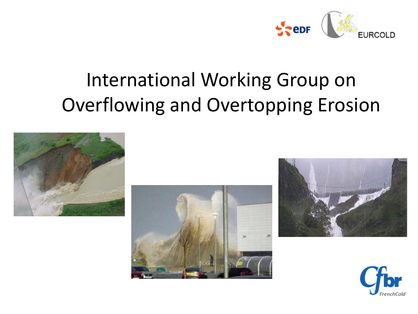

# International Working Group on Overflowing and Overtopping Erosion







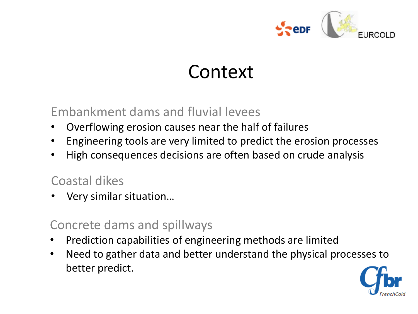

### Context

#### Embankment dams and fluvial levees

- Overflowing erosion causes near the half of failures
- Engineering tools are very limited to predict the erosion processes
- High consequences decisions are often based on crude analysis

#### Coastal dikes

• Very similar situation…

#### Concrete dams and spillways

- Prediction capabilities of engineering methods are limited
- Need to gather data and better understand the physical processes to better predict.

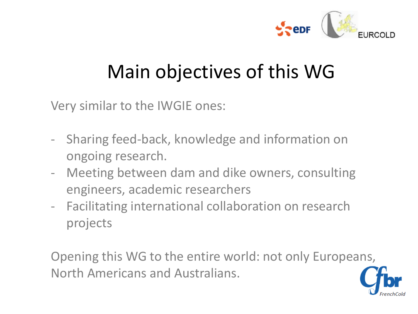

## Main objectives of this WG

Very similar to the IWGIE ones:

- Sharing feed-back, knowledge and information on ongoing research.
- Meeting between dam and dike owners, consulting engineers, academic researchers
- Facilitating international collaboration on research projects

Opening this WG to the entire world: not only Europeans, North Americans and Australians.

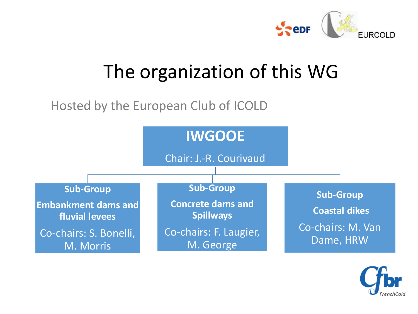

### The organization of this WG

#### Hosted by the European Club of ICOLD